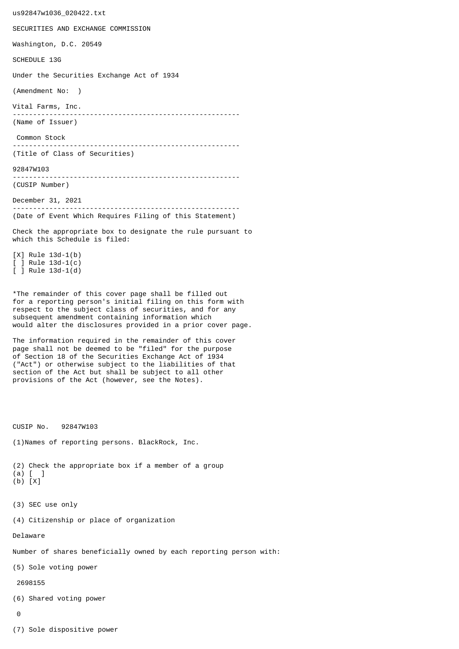us92847w1036\_020422.txt SECURITIES AND EXCHANGE COMMISSION Washington, D.C. 20549 SCHEDULE 13G Under the Securities Exchange Act of 1934 (Amendment No: ) Vital Farms, Inc. -------------------------------------------------------- (Name of Issuer) Common Stock -------------------------------------------------------- (Title of Class of Securities) 92847W103 -------------------------------------------------------- (CUSIP Number) December 31, 2021 -------------------------------------------------------- (Date of Event Which Requires Filing of this Statement) Check the appropriate box to designate the rule pursuant to which this Schedule is filed: [X] Rule 13d-1(b) [ ] Rule 13d-1(c) [ ] Rule 13d-1(d) \*The remainder of this cover page shall be filled out for a reporting person's initial filing on this form with respect to the subject class of securities, and for any subsequent amendment containing information which would alter the disclosures provided in a prior cover page. The information required in the remainder of this cover page shall not be deemed to be "filed" for the purpose of Section 18 of the Securities Exchange Act of 1934 ("Act") or otherwise subject to the liabilities of that section of the Act but shall be subject to all other provisions of the Act (however, see the Notes). CUSIP No. 92847W103 (1)Names of reporting persons. BlackRock, Inc. (2) Check the appropriate box if a member of a group (a) [ ] (b) [X] (3) SEC use only (4) Citizenship or place of organization Delaware Number of shares beneficially owned by each reporting person with: (5) Sole voting power 2698155 (6) Shared voting power  $\Omega$ 

(7) Sole dispositive power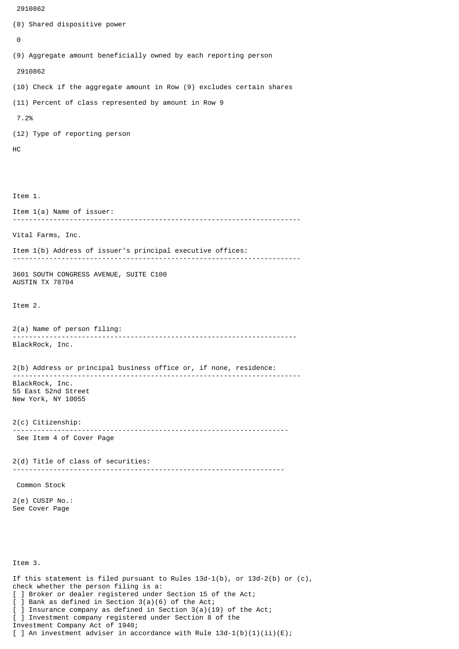```
 2910862
```

```
(8) Shared dispositive power
 \boldsymbol{\Theta}(9) Aggregate amount beneficially owned by each reporting person
  2910862
(10) Check if the aggregate amount in Row (9) excludes certain shares
(11) Percent of class represented by amount in Row 9
  7.2%
(12) Type of reporting person
HC
Item 1.
Item 1(a) Name of issuer:
           -----------------------------------------------------------------------
Vital Farms, Inc.
Item 1(b) Address of issuer's principal executive offices:
-----------------------------------------------------------------------
3601 SOUTH CONGRESS AVENUE, SUITE C100
AUSTIN TX 78704
Item 2.
2(a) Name of person filing:
              ----------------------------------------------------------------------
BlackRock, Inc.
2(b) Address or principal business office or, if none, residence:
 -----------------------------------------------------------------------
BlackRock, Inc.
55 East 52nd Street
New York, NY 10055
2(c) Citizenship:
                            --------------------------------------------------------------------
 See Item 4 of Cover Page
2(d) Title of class of securities:
                                      -------------------------------------------------------------------
 Common Stock
2(e) CUSIP No.:
See Cover Page
Item 3.
If this statement is filed pursuant to Rules 13d-1(b), or 13d-2(b) or (c),
check whether the person filing is a:
[ ] Broker or dealer registered under Section 15 of the Act;
[ ] Bank as defined in Section 3(a)(6) of the Act;
  ] Insurance company as defined in Section 3(a)(19) of the Act;
[ ] Investment company registered under Section 8 of the
```
Investment Company Act of 1940;

[ ] An investment adviser in accordance with Rule  $13d-1(b)(1)(ii)(E)$ ;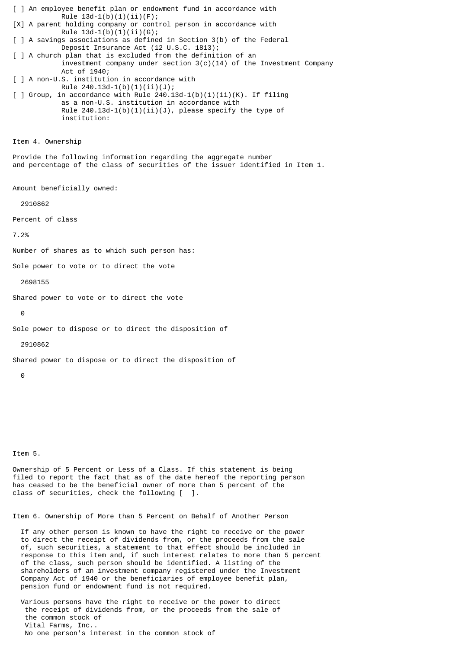[ ] An employee benefit plan or endowment fund in accordance with Rule  $13d-1(b)(1)(ii)(F);$ [X] A parent holding company or control person in accordance with Rule  $13d-1(b)(1)(ii)(G);$ [ ] A savings associations as defined in Section 3(b) of the Federal Deposit Insurance Act (12 U.S.C. 1813); [ ] A church plan that is excluded from the definition of an investment company under section  $3(c)(14)$  of the Investment Company Act of 1940; [ ] A non-U.S. institution in accordance with Rule 240.13d-1(b)(1)(ii)(J);  $\lceil$  ] Group, in accordance with Rule 240.13d-1(b)(1)(ii)(K). If filing as a non-U.S. institution in accordance with Rule  $240.13d-1(b)(1)(ii)(J)$ , please specify the type of institution: Item 4. Ownership Provide the following information regarding the aggregate number and percentage of the class of securities of the issuer identified in Item 1. Amount beneficially owned: 2910862 Percent of class 7.2% Number of shares as to which such person has: Sole power to vote or to direct the vote 2698155 Shared power to vote or to direct the vote  $\Theta$ Sole power to dispose or to direct the disposition of 2910862 Shared power to dispose or to direct the disposition of  $\Omega$ 

Item 5.

Ownership of 5 Percent or Less of a Class. If this statement is being filed to report the fact that as of the date hereof the reporting person has ceased to be the beneficial owner of more than 5 percent of the class of securities, check the following [ ].

Item 6. Ownership of More than 5 Percent on Behalf of Another Person

 If any other person is known to have the right to receive or the power to direct the receipt of dividends from, or the proceeds from the sale of, such securities, a statement to that effect should be included in response to this item and, if such interest relates to more than 5 percent of the class, such person should be identified. A listing of the shareholders of an investment company registered under the Investment Company Act of 1940 or the beneficiaries of employee benefit plan, pension fund or endowment fund is not required.

 Various persons have the right to receive or the power to direct the receipt of dividends from, or the proceeds from the sale of the common stock of Vital Farms, Inc.. No one person's interest in the common stock of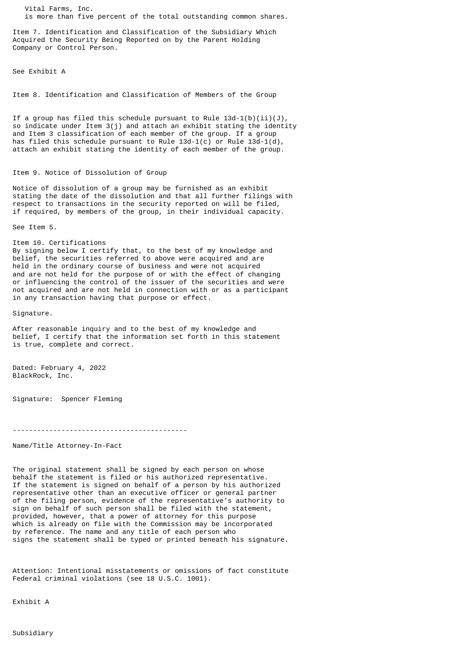Vital Farms, Inc. is more than five percent of the total outstanding common shares.

Item 7. Identification and Classification of the Subsidiary Which Acquired the Security Being Reported on by the Parent Holding Company or Control Person.

See Exhibit A

Item 8. Identification and Classification of Members of the Group

If a group has filed this schedule pursuant to Rule  $13d-1(b)(ii)(J)$ , so indicate under Item 3(j) and attach an exhibit stating the identity and Item 3 classification of each member of the group. If a group has filed this schedule pursuant to Rule  $13d-1(c)$  or Rule  $13d-1(d)$ , attach an exhibit stating the identity of each member of the group.

## Item 9. Notice of Dissolution of Group

Notice of dissolution of a group may be furnished as an exhibit stating the date of the dissolution and that all further filings with respect to transactions in the security reported on will be filed, if required, by members of the group, in their individual capacity.

See Item 5.

Item 10. Certifications By signing below I certify that, to the best of my knowledge and belief, the securities referred to above were acquired and are held in the ordinary course of business and were not acquired and are not held for the purpose of or with the effect of changing or influencing the control of the issuer of the securities and were not acquired and are not held in connection with or as a participant in any transaction having that purpose or effect.

Signature.

After reasonable inquiry and to the best of my knowledge and belief, I certify that the information set forth in this statement is true, complete and correct.

Dated: February 4, 2022 BlackRock, Inc.

Signature: Spencer Fleming

-------------------------------------------

Name/Title Attorney-In-Fact

The original statement shall be signed by each person on whose behalf the statement is filed or his authorized representative. If the statement is signed on behalf of a person by his authorized representative other than an executive officer or general partner of the filing person, evidence of the representative's authority to sign on behalf of such person shall be filed with the statement, provided, however, that a power of attorney for this purpose which is already on file with the Commission may be incorporated by reference. The name and any title of each person who signs the statement shall be typed or printed beneath his signature.

Attention: Intentional misstatements or omissions of fact constitute Federal criminal violations (see 18 U.S.C. 1001).

Exhibit A